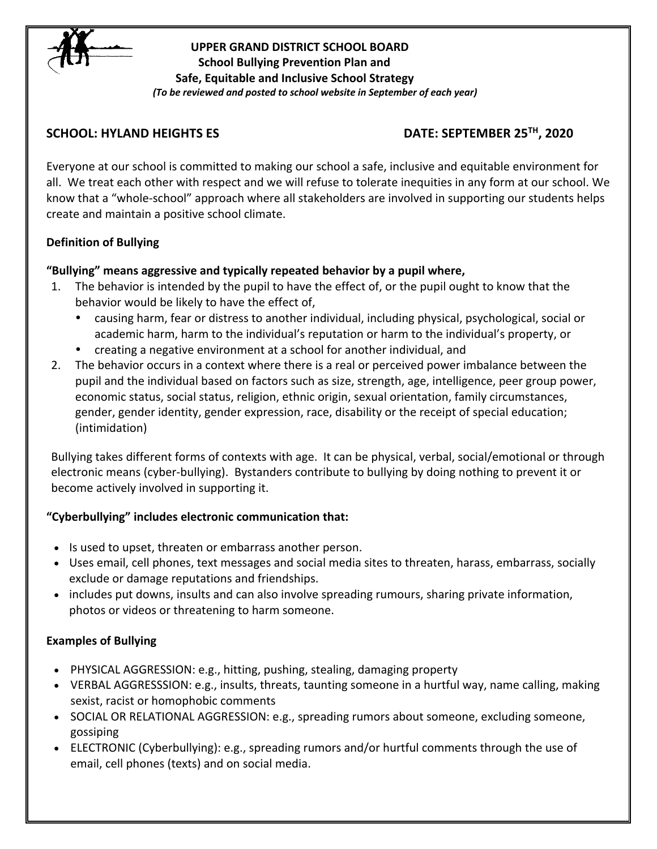

## **UPPER GRAND DISTRICT SCHOOL BOARD School Bullying Prevention Plan and Safe, Equitable and Inclusive School Strategy** *(To be reviewed and posted to school website in September of each year)*

## **SCHOOL: HYLAND HEIGHTS ES DATE: SEPTEMBER 25TH, 2020**

Everyone at our school is committed to making our school a safe, inclusive and equitable environment for all. We treat each other with respect and we will refuse to tolerate inequities in any form at our school. We know that a "whole-school" approach where all stakeholders are involved in supporting our students helps create and maintain a positive school climate.

## **Definition of Bullying**

# **"Bullying" means aggressive and typically repeated behavior by a pupil where,**

- 1. The behavior is intended by the pupil to have the effect of, or the pupil ought to know that the behavior would be likely to have the effect of,
	- causing harm, fear or distress to another individual, including physical, psychological, social or academic harm, harm to the individual's reputation or harm to the individual's property, or
	- creating a negative environment at a school for another individual, and
- 2. The behavior occurs in a context where there is a real or perceived power imbalance between the pupil and the individual based on factors such as size, strength, age, intelligence, peer group power, economic status, social status, religion, ethnic origin, sexual orientation, family circumstances, gender, gender identity, gender expression, race, disability or the receipt of special education; (intimidation)

Bullying takes different forms of contexts with age. It can be physical, verbal, social/emotional or through electronic means (cyber-bullying). Bystanders contribute to bullying by doing nothing to prevent it or become actively involved in supporting it.

## **"Cyberbullying" includes electronic communication that:**

- Is used to upset, threaten or embarrass another person.
- Uses email, cell phones, text messages and social media sites to threaten, harass, embarrass, socially exclude or damage reputations and friendships.
- includes put downs, insults and can also involve spreading rumours, sharing private information, photos or videos or threatening to harm someone.

# **Examples of Bullying**

- PHYSICAL AGGRESSION: e.g., hitting, pushing, stealing, damaging property
- VERBAL AGGRESSSION: e.g., insults, threats, taunting someone in a hurtful way, name calling, making sexist, racist or homophobic comments
- SOCIAL OR RELATIONAL AGGRESSION: e.g., spreading rumors about someone, excluding someone, gossiping
- ELECTRONIC (Cyberbullying): e.g., spreading rumors and/or hurtful comments through the use of email, cell phones (texts) and on social media.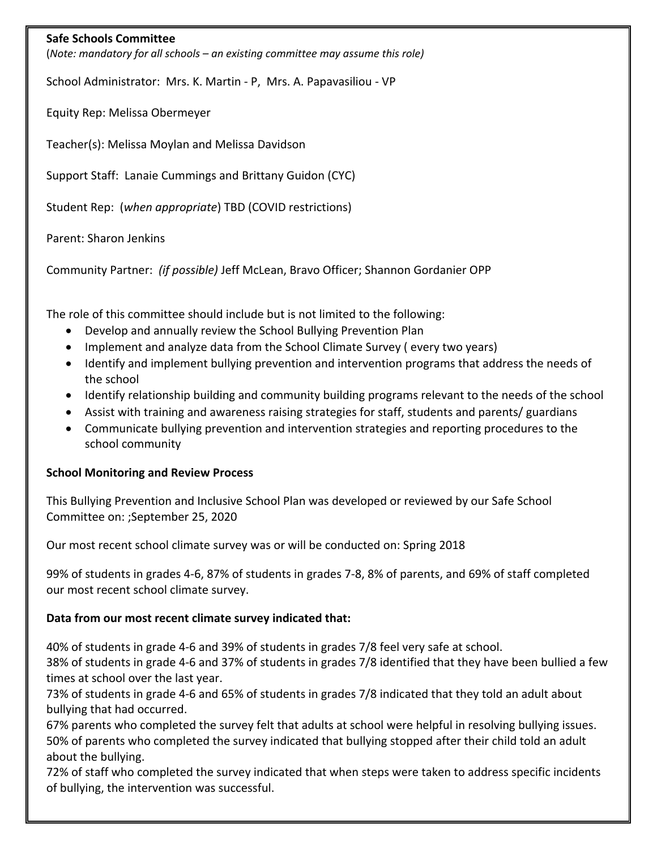#### **Safe Schools Committee**

(*Note: mandatory for all schools – an existing committee may assume this role)*

School Administrator: Mrs. K. Martin - P, Mrs. A. Papavasiliou - VP

Equity Rep: Melissa Obermeyer

Teacher(s): Melissa Moylan and Melissa Davidson

Support Staff: Lanaie Cummings and Brittany Guidon (CYC)

Student Rep: (*when appropriate*) TBD (COVID restrictions)

Parent: Sharon Jenkins

Community Partner: *(if possible)* Jeff McLean, Bravo Officer; Shannon Gordanier OPP

The role of this committee should include but is not limited to the following:

- Develop and annually review the School Bullying Prevention Plan
- Implement and analyze data from the School Climate Survey ( every two years)
- Identify and implement bullying prevention and intervention programs that address the needs of the school
- Identify relationship building and community building programs relevant to the needs of the school
- Assist with training and awareness raising strategies for staff, students and parents/ guardians
- Communicate bullying prevention and intervention strategies and reporting procedures to the school community

## **School Monitoring and Review Process**

This Bullying Prevention and Inclusive School Plan was developed or reviewed by our Safe School Committee on: ;September 25, 2020

Our most recent school climate survey was or will be conducted on: Spring 2018

99% of students in grades 4-6, 87% of students in grades 7-8, 8% of parents, and 69% of staff completed our most recent school climate survey.

## **Data from our most recent climate survey indicated that:**

40% of students in grade 4-6 and 39% of students in grades 7/8 feel very safe at school.

38% of students in grade 4-6 and 37% of students in grades 7/8 identified that they have been bullied a few times at school over the last year.

73% of students in grade 4-6 and 65% of students in grades 7/8 indicated that they told an adult about bullying that had occurred.

67% parents who completed the survey felt that adults at school were helpful in resolving bullying issues. 50% of parents who completed the survey indicated that bullying stopped after their child told an adult about the bullying.

72% of staff who completed the survey indicated that when steps were taken to address specific incidents of bullying, the intervention was successful.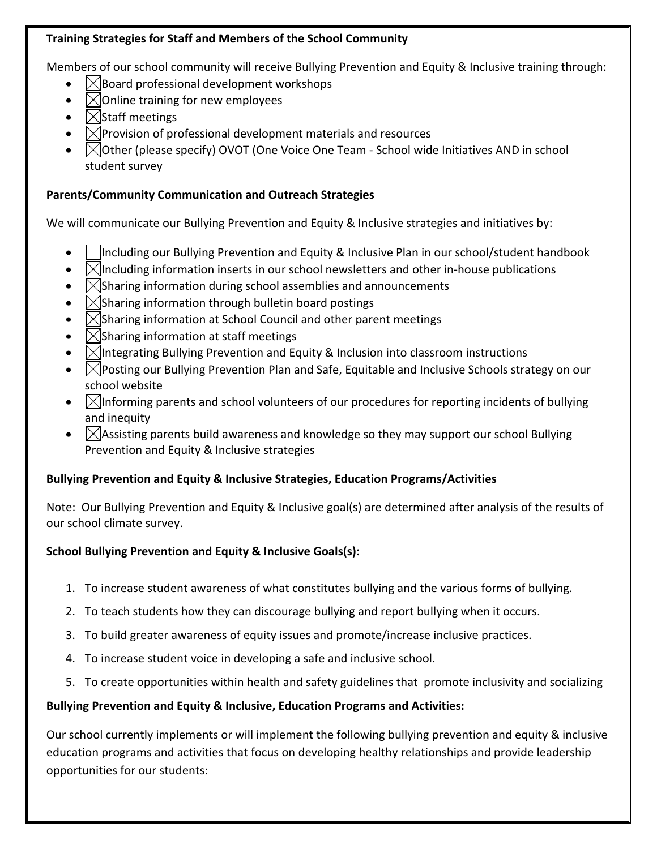## **Training Strategies for Staff and Members of the School Community**

Members of our school community will receive Bullying Prevention and Equity & Inclusive training through:

- $\boxtimes$  Board professional development workshops
- $\bowtie$  Online training for new employees
- $\sqrt{\frac{1}{100}}$  Staff meetings
- $\mathbb{X}$  Provision of professional development materials and resources
- $\Box$ Other (please specify) OVOT (One Voice One Team School wide Initiatives AND in school student survey

# **Parents/Community Communication and Outreach Strategies**

We will communicate our Bullying Prevention and Equity & Inclusive strategies and initiatives by:

- Including our Bullying Prevention and Equity & Inclusive Plan in our school/student handbook
- $\mathbb{M}$ Including information inserts in our school newsletters and other in-house publications
- $\chi$ Sharing information during school assemblies and announcements
- $\Box$ Sharing information through bulletin board postings
- $\vert\angle\vert$ Sharing information at School Council and other parent meetings
- $\sqrt{\frac{1}{1}}$ Sharing information at staff meetings
- $\mathbb{K}$ Integrating Bullying Prevention and Equity & Inclusion into classroom instructions
- $\Box$  Posting our Bullying Prevention Plan and Safe, Equitable and Inclusive Schools strategy on our school website
- $\Box$  Informing parents and school volunteers of our procedures for reporting incidents of bullying and inequity
- $\Box$  Assisting parents build awareness and knowledge so they may support our school Bullying Prevention and Equity & Inclusive strategies

# **Bullying Prevention and Equity & Inclusive Strategies, Education Programs/Activities**

Note: Our Bullying Prevention and Equity & Inclusive goal(s) are determined after analysis of the results of our school climate survey.

# **School Bullying Prevention and Equity & Inclusive Goals(s):**

- 1. To increase student awareness of what constitutes bullying and the various forms of bullying.
- 2. To teach students how they can discourage bullying and report bullying when it occurs.
- 3. To build greater awareness of equity issues and promote/increase inclusive practices.
- 4. To increase student voice in developing a safe and inclusive school.
- 5. To create opportunities within health and safety guidelines that promote inclusivity and socializing

# **Bullying Prevention and Equity & Inclusive, Education Programs and Activities:**

Our school currently implements or will implement the following bullying prevention and equity & inclusive education programs and activities that focus on developing healthy relationships and provide leadership opportunities for our students: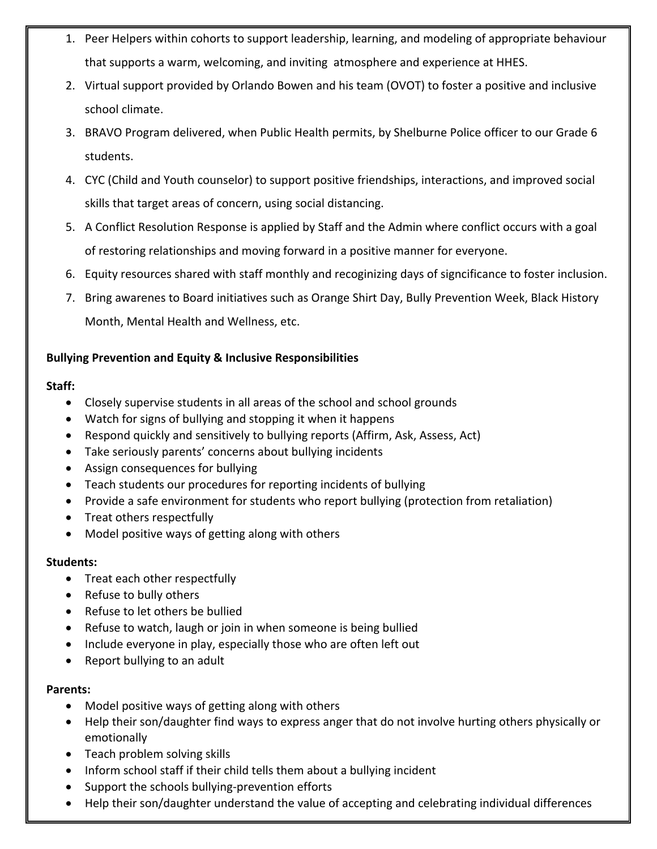- 1. Peer Helpers within cohorts to support leadership, learning, and modeling of appropriate behaviour that supports a warm, welcoming, and inviting atmosphere and experience at HHES.
- 2. Virtual support provided by Orlando Bowen and his team (OVOT) to foster a positive and inclusive school climate.
- 3. BRAVO Program delivered, when Public Health permits, by Shelburne Police officer to our Grade 6 students.
- 4. CYC (Child and Youth counselor) to support positive friendships, interactions, and improved social skills that target areas of concern, using social distancing.
- 5. A Conflict Resolution Response is applied by Staff and the Admin where conflict occurs with a goal of restoring relationships and moving forward in a positive manner for everyone.
- 6. Equity resources shared with staff monthly and recoginizing days of signcificance to foster inclusion.
- 7. Bring awarenes to Board initiatives such as Orange Shirt Day, Bully Prevention Week, Black History Month, Mental Health and Wellness, etc.

## **Bullying Prevention and Equity & Inclusive Responsibilities**

## **Staff:**

- Closely supervise students in all areas of the school and school grounds
- Watch for signs of bullying and stopping it when it happens
- Respond quickly and sensitively to bullying reports (Affirm, Ask, Assess, Act)
- Take seriously parents' concerns about bullying incidents
- Assign consequences for bullying
- Teach students our procedures for reporting incidents of bullying
- Provide a safe environment for students who report bullying (protection from retaliation)
- Treat others respectfully
- Model positive ways of getting along with others

## **Students:**

- Treat each other respectfully
- Refuse to bully others
- Refuse to let others be bullied
- Refuse to watch, laugh or join in when someone is being bullied
- Include everyone in play, especially those who are often left out
- Report bullying to an adult

## **Parents:**

- Model positive ways of getting along with others
- Help their son/daughter find ways to express anger that do not involve hurting others physically or emotionally
- Teach problem solving skills
- Inform school staff if their child tells them about a bullying incident
- Support the schools bullying-prevention efforts
- Help their son/daughter understand the value of accepting and celebrating individual differences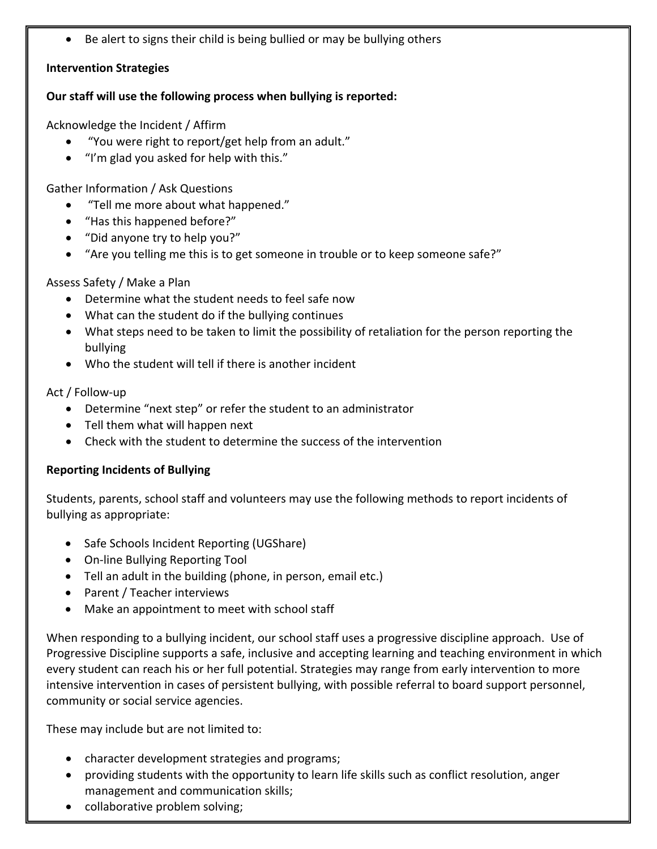Be alert to signs their child is being bullied or may be bullying others

## **Intervention Strategies**

#### **Our staff will use the following process when bullying is reported:**

Acknowledge the Incident / Affirm

- "You were right to report/get help from an adult."
- "I'm glad you asked for help with this."

Gather Information / Ask Questions

- "Tell me more about what happened."
- "Has this happened before?"
- "Did anyone try to help you?"
- "Are you telling me this is to get someone in trouble or to keep someone safe?"

## Assess Safety / Make a Plan

- Determine what the student needs to feel safe now
- What can the student do if the bullying continues
- What steps need to be taken to limit the possibility of retaliation for the person reporting the bullying
- Who the student will tell if there is another incident

## Act / Follow-up

- Determine "next step" or refer the student to an administrator
- Tell them what will happen next
- Check with the student to determine the success of the intervention

## **Reporting Incidents of Bullying**

Students, parents, school staff and volunteers may use the following methods to report incidents of bullying as appropriate:

- Safe Schools Incident Reporting (UGShare)
- On-line Bullying Reporting Tool
- Tell an adult in the building (phone, in person, email etc.)
- Parent / Teacher interviews
- Make an appointment to meet with school staff

When responding to a bullying incident, our school staff uses a progressive discipline approach. Use of Progressive Discipline supports a safe, inclusive and accepting learning and teaching environment in which every student can reach his or her full potential. Strategies may range from early intervention to more intensive intervention in cases of persistent bullying, with possible referral to board support personnel, community or social service agencies.

These may include but are not limited to:

- character development strategies and programs;
- providing students with the opportunity to learn life skills such as conflict resolution, anger management and communication skills;
- collaborative problem solving;